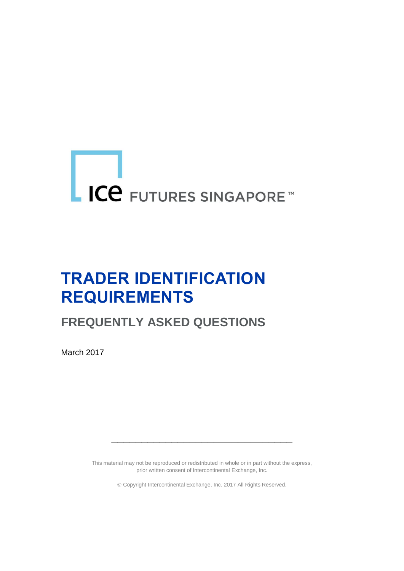# LICE FUTURES SINGAPORE™

## **TRADER IDENTIFICATION REQUIREMENTS**

### **FREQUENTLY ASKED QUESTIONS**

March 2017

This material may not be reproduced or redistributed in whole or in part without the express, prior written consent of Intercontinental Exchange, Inc.

**\_\_\_\_\_\_\_\_\_\_\_\_\_\_\_\_\_\_\_\_\_\_\_\_\_\_\_\_\_\_**

Copyright Intercontinental Exchange, Inc. 2017 All Rights Reserved.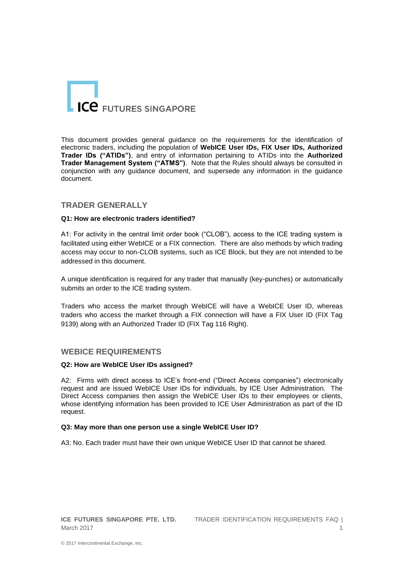

This document provides general guidance on the requirements for the identification of electronic traders, including the population of **WebICE User IDs, FIX User IDs, Authorized Trader IDs ("ATIDs")**, and entry of information pertaining to ATIDs into the **Authorized Trader Management System ("ATMS")**. Note that the Rules should always be consulted in conjunction with any guidance document, and supersede any information in the guidance document.

#### **TRADER GENERALLY**

#### **Q1: How are electronic traders identified?**

A1: For activity in the central limit order book ("CLOB"), access to the ICE trading system is facilitated using either WebICE or a FIX connection. There are also methods by which trading access may occur to non-CLOB systems, such as ICE Block, but they are not intended to be addressed in this document.

A unique identification is required for any trader that manually (key-punches) or automatically submits an order to the ICE trading system.

Traders who access the market through WebICE will have a WebICE User ID, whereas traders who access the market through a FIX connection will have a FIX User ID (FIX Tag 9139) along with an Authorized Trader ID (FIX Tag 116 Right).

#### **WEBICE REQUIREMENTS**

#### **Q2: How are WebICE User IDs assigned?**

A2: Firms with direct access to ICE's front-end ("Direct Access companies") electronically request and are issued WebICE User IDs for individuals, by ICE User Administration. The Direct Access companies then assign the WebICE User IDs to their employees or clients, whose identifying information has been provided to ICE User Administration as part of the ID request.

#### **Q3: May more than one person use a single WebICE User ID?**

A3: No. Each trader must have their own unique WebICE User ID that cannot be shared.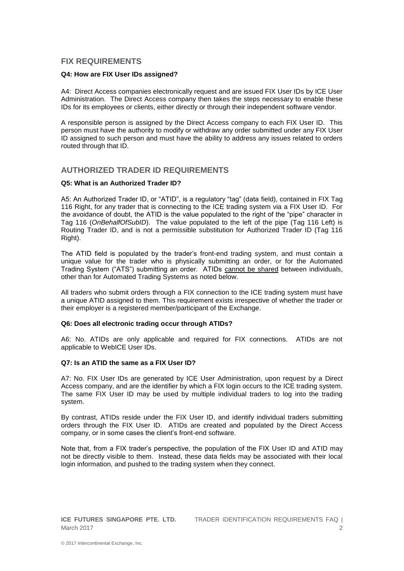#### **FIX REQUIREMENTS**

#### **Q4: How are FIX User IDs assigned?**

A4: Direct Access companies electronically request and are issued FIX User IDs by ICE User Administration. The Direct Access company then takes the steps necessary to enable these IDs for its employees or clients, either directly or through their independent software vendor.

A responsible person is assigned by the Direct Access company to each FIX User ID. This person must have the authority to modify or withdraw any order submitted under any FIX User ID assigned to such person and must have the ability to address any issues related to orders routed through that ID.

#### **AUTHORIZED TRADER ID REQUIREMENTS**

#### **Q5: What is an Authorized Trader ID?**

A5: An Authorized Trader ID, or "ATID", is a regulatory "tag" (data field), contained in FIX Tag 116 Right, for any trader that is connecting to the ICE trading system via a FIX User ID. For the avoidance of doubt, the ATID is the value populated to the right of the "pipe" character in Tag 116 (*OnBehalfOfSubID*). The value populated to the left of the pipe (Tag 116 Left) is Routing Trader ID, and is not a permissible substitution for Authorized Trader ID (Tag 116 Right).

The ATID field is populated by the trader's front-end trading system, and must contain a unique value for the trader who is physically submitting an order, or for the Automated Trading System ("ATS") submitting an order. ATIDs cannot be shared between individuals, other than for Automated Trading Systems as noted below.

All traders who submit orders through a FIX connection to the ICE trading system must have a unique ATID assigned to them. This requirement exists irrespective of whether the trader or their employer is a registered member/participant of the Exchange.

#### **Q6: Does all electronic trading occur through ATIDs?**

A6: No. ATIDs are only applicable and required for FIX connections. ATIDs are not applicable to WebICE User IDs.

#### **Q7: Is an ATID the same as a FIX User ID?**

A7: No. FIX User IDs are generated by ICE User Administration, upon request by a Direct Access company, and are the identifier by which a FIX login occurs to the ICE trading system. The same FIX User ID may be used by multiple individual traders to log into the trading system.

By contrast, ATIDs reside under the FIX User ID, and identify individual traders submitting orders through the FIX User ID. ATIDs are created and populated by the Direct Access company, or in some cases the client's front-end software.

Note that, from a FIX trader's perspective, the population of the FIX User ID and ATID may not be directly visible to them. Instead, these data fields may be associated with their local login information, and pushed to the trading system when they connect.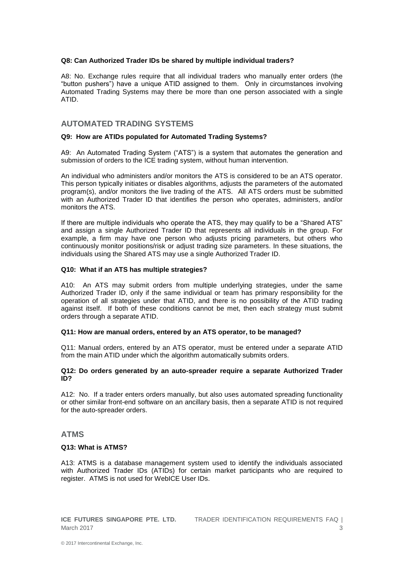#### **Q8: Can Authorized Trader IDs be shared by multiple individual traders?**

A8: No. Exchange rules require that all individual traders who manually enter orders (the "button pushers") have a unique ATID assigned to them. Only in circumstances involving Automated Trading Systems may there be more than one person associated with a single ATID.

#### **AUTOMATED TRADING SYSTEMS**

#### **Q9: How are ATIDs populated for Automated Trading Systems?**

A9: An Automated Trading System ("ATS") is a system that automates the generation and submission of orders to the ICE trading system, without human intervention.

An individual who administers and/or monitors the ATS is considered to be an ATS operator. This person typically initiates or disables algorithms, adjusts the parameters of the automated program(s), and/or monitors the live trading of the ATS. All ATS orders must be submitted with an Authorized Trader ID that identifies the person who operates, administers, and/or monitors the ATS.

If there are multiple individuals who operate the ATS, they may qualify to be a "Shared ATS" and assign a single Authorized Trader ID that represents all individuals in the group. For example, a firm may have one person who adjusts pricing parameters, but others who continuously monitor positions/risk or adjust trading size parameters. In these situations, the individuals using the Shared ATS may use a single Authorized Trader ID.

#### **Q10: What if an ATS has multiple strategies?**

A10: An ATS may submit orders from multiple underlying strategies, under the same Authorized Trader ID, only if the same individual or team has primary responsibility for the operation of all strategies under that ATID, and there is no possibility of the ATID trading against itself. If both of these conditions cannot be met, then each strategy must submit orders through a separate ATID.

#### **Q11: How are manual orders, entered by an ATS operator, to be managed?**

Q11: Manual orders, entered by an ATS operator, must be entered under a separate ATID from the main ATID under which the algorithm automatically submits orders.

#### **Q12: Do orders generated by an auto-spreader require a separate Authorized Trader ID?**

A12: No. If a trader enters orders manually, but also uses automated spreading functionality or other similar front-end software on an ancillary basis, then a separate ATID is not required for the auto-spreader orders.

#### **ATMS**

#### **Q13: What is ATMS?**

A13: ATMS is a database management system used to identify the individuals associated with Authorized Trader IDs (ATIDs) for certain market participants who are required to register. ATMS is not used for WebICE User IDs.

**ICE FUTURES SINGAPORE PTE. LTD.** TRADER IDENTIFICATION REQUIREMENTS FAQ | March 2017 3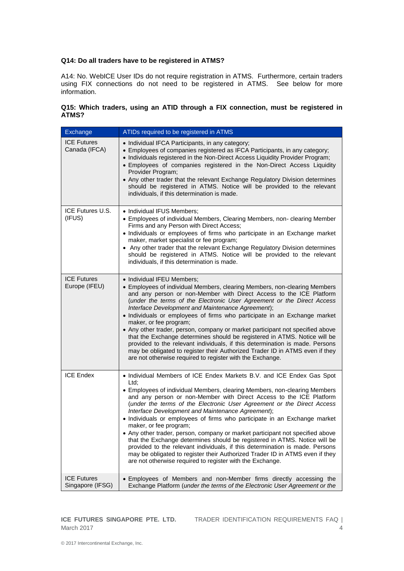#### **Q14: Do all traders have to be registered in ATMS?**

A14: No. WebICE User IDs do not require registration in ATMS. Furthermore, certain traders using FIX connections do not need to be registered in ATMS. See below for more information.

#### **Q15: Which traders, using an ATID through a FIX connection, must be registered in ATMS?**

| Exchange                               | ATIDs required to be registered in ATMS                                                                                                                                                                                                                                                                                                                                                                                                                                                                                                                                                                                                                                                                                                                                                                                                                            |
|----------------------------------------|--------------------------------------------------------------------------------------------------------------------------------------------------------------------------------------------------------------------------------------------------------------------------------------------------------------------------------------------------------------------------------------------------------------------------------------------------------------------------------------------------------------------------------------------------------------------------------------------------------------------------------------------------------------------------------------------------------------------------------------------------------------------------------------------------------------------------------------------------------------------|
| <b>ICE Futures</b><br>Canada (IFCA)    | • Individual IFCA Participants, in any category;<br>• Employees of companies registered as IFCA Participants, in any category;<br>• Individuals registered in the Non-Direct Access Liquidity Provider Program;<br>• Employees of companies registered in the Non-Direct Access Liquidity<br>Provider Program;<br>• Any other trader that the relevant Exchange Regulatory Division determines<br>should be registered in ATMS. Notice will be provided to the relevant<br>individuals, if this determination is made.                                                                                                                                                                                                                                                                                                                                             |
| ICE Futures U.S.<br>(IFUS)             | • Individual IFUS Members;<br>• Employees of individual Members, Clearing Members, non- clearing Member<br>Firms and any Person with Direct Access;<br>• Individuals or employees of firms who participate in an Exchange market<br>maker, market specialist or fee program;<br>• Any other trader that the relevant Exchange Regulatory Division determines<br>should be registered in ATMS. Notice will be provided to the relevant<br>individuals, if this determination is made.                                                                                                                                                                                                                                                                                                                                                                               |
| <b>ICE Futures</b><br>Europe (IFEU)    | • Individual IFEU Members;<br>• Employees of individual Members, clearing Members, non-clearing Members<br>and any person or non-Member with Direct Access to the ICE Platform<br>(under the terms of the Electronic User Agreement or the Direct Access<br>Interface Development and Maintenance Agreement);<br>• Individuals or employees of firms who participate in an Exchange market<br>maker, or fee program;<br>• Any other trader, person, company or market participant not specified above<br>that the Exchange determines should be registered in ATMS. Notice will be<br>provided to the relevant individuals, if this determination is made. Persons<br>may be obligated to register their Authorized Trader ID in ATMS even if they<br>are not otherwise required to register with the Exchange.                                                    |
| <b>ICE Endex</b>                       | • Individual Members of ICE Endex Markets B.V. and ICE Endex Gas Spot<br>Ltd:<br>• Employees of individual Members, clearing Members, non-clearing Members<br>and any person or non-Member with Direct Access to the ICE Platform<br>(under the terms of the Electronic User Agreement or the Direct Access<br>Interface Development and Maintenance Agreement);<br>• Individuals or employees of firms who participate in an Exchange market<br>maker, or fee program;<br>• Any other trader, person, company or market participant not specified above<br>that the Exchange determines should be registered in ATMS. Notice will be<br>provided to the relevant individuals, if this determination is made. Persons<br>may be obligated to register their Authorized Trader ID in ATMS even if they<br>are not otherwise required to register with the Exchange. |
| <b>ICE Futures</b><br>Singapore (IFSG) | • Employees of Members and non-Member firms directly accessing the<br>Exchange Platform (under the terms of the Electronic User Agreement or the                                                                                                                                                                                                                                                                                                                                                                                                                                                                                                                                                                                                                                                                                                                   |

March 2017 4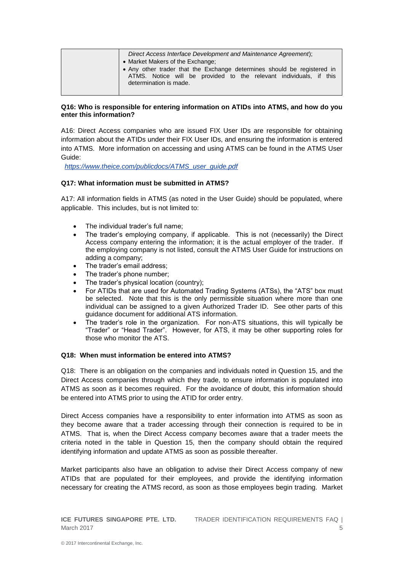| Direct Access Interface Development and Maintenance Agreement);                              |
|----------------------------------------------------------------------------------------------|
| • Market Makers of the Exchange:                                                             |
| • Any other trader that the Exchange determines should be registered in                      |
| ATMS. Notice will be provided to the relevant individuals, if this<br>determination is made. |
|                                                                                              |

#### **Q16: Who is responsible for entering information on ATIDs into ATMS, and how do you enter this information?**

A16: Direct Access companies who are issued FIX User IDs are responsible for obtaining information about the ATIDs under their FIX User IDs, and ensuring the information is entered into ATMS. More information on accessing and using ATMS can be found in the ATMS User Guide:

*[https://www.theice.com/publicdocs/ATMS\\_user\\_guide.pdf](https://www.theice.com/publicdocs/ATMS_user_guide.pdf)*

#### **Q17: What information must be submitted in ATMS?**

A17: All information fields in ATMS (as noted in the User Guide) should be populated, where applicable. This includes, but is not limited to:

- The individual trader's full name;
- The trader's employing company, if applicable. This is not (necessarily) the Direct Access company entering the information; it is the actual employer of the trader. If the employing company is not listed, consult the ATMS User Guide for instructions on adding a company;
- The trader's email address;
- The trader's phone number;
- The trader's physical location (country);
- For ATIDs that are used for Automated Trading Systems (ATSs), the "ATS" box must be selected. Note that this is the only permissible situation where more than one individual can be assigned to a given Authorized Trader ID. See other parts of this guidance document for additional ATS information.
- The trader's role in the organization. For non-ATS situations, this will typically be "Trader" or "Head Trader". However, for ATS, it may be other supporting roles for those who monitor the ATS.

#### **Q18: When must information be entered into ATMS?**

Q18: There is an obligation on the companies and individuals noted in Question 15, and the Direct Access companies through which they trade, to ensure information is populated into ATMS as soon as it becomes required. For the avoidance of doubt, this information should be entered into ATMS prior to using the ATID for order entry.

Direct Access companies have a responsibility to enter information into ATMS as soon as they become aware that a trader accessing through their connection is required to be in ATMS. That is, when the Direct Access company becomes aware that a trader meets the criteria noted in the table in Question 15, then the company should obtain the required identifying information and update ATMS as soon as possible thereafter.

Market participants also have an obligation to advise their Direct Access company of new ATIDs that are populated for their employees, and provide the identifying information necessary for creating the ATMS record, as soon as those employees begin trading. Market